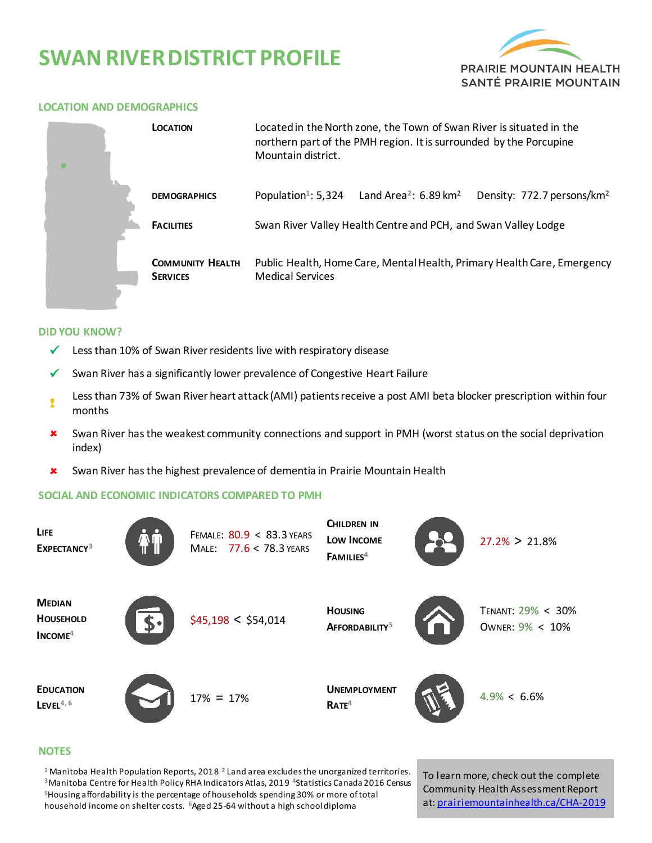# **SWAN RIVER DISTRICT PROFILE**



#### **LOCATION AND DEMOGRAPHICS**

|  | <b>LOCATION</b>                            | Located in the North zone, the Town of Swan River is situated in the<br>northern part of the PMH region. It is surrounded by the Porcupine<br>Mountain district. |                                               |                                        |  |  |  |
|--|--------------------------------------------|------------------------------------------------------------------------------------------------------------------------------------------------------------------|-----------------------------------------------|----------------------------------------|--|--|--|
|  | <b>DEMOGRAPHICS</b>                        | Population <sup>1</sup> : 5,324                                                                                                                                  | Land Area <sup>2</sup> : 6.89 km <sup>2</sup> | Density: 772.7 persons/km <sup>2</sup> |  |  |  |
|  | <b>FACILITIES</b>                          | Swan River Valley Health Centre and PCH, and Swan Valley Lodge                                                                                                   |                                               |                                        |  |  |  |
|  | <b>COMMUNITY HEALTH</b><br><b>SERVICES</b> | Public Health, Home Care, Mental Health, Primary Health Care, Emergency<br><b>Medical Services</b>                                                               |                                               |                                        |  |  |  |

#### **DID YOU KNOW?**

- $\checkmark$  Less than 10% of Swan River residents live with respiratory disease
- Swan River has a significantly lower prevalence of Congestive Heart Failure
- ! Less than 73% of Swan River heart attack (AMI) patients receive a post AMI beta blocker prescription within four months
- Swan River has the weakest community connections and support in PMH (worst status on the social deprivation index)
- Swan River has the highest prevalence of dementia in Prairie Mountain Health

### **SOCIAL AND ECONOMIC INDICATORS COMPARED TO PMH**



#### **NOTES**

 Manitoba Health Population Reports, 2018 **<sup>2</sup>**Land area excludes the unorganized territories. Manitoba Centre for Health Policy RHA Indicators Atlas, 2019 **<sup>4</sup>**Statistics Canada 2016 Census Housing affordability is the percentage of households spending 30% or more of total household income on shelter costs. **<sup>6</sup>**Aged 25-64 without a high school diploma

To learn more, check out the complete Community Health Assessment Report at[: prairiemountainhealth.ca/CHA-2019](https://prairiemountainhealth.ca/CHA-2019)